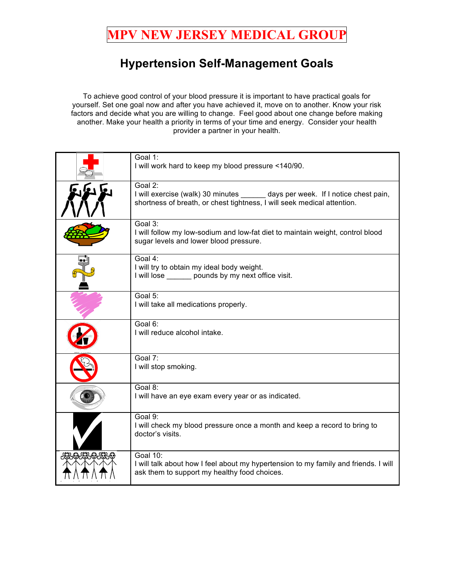## **MPV NEW JERSEY MEDICAL GROUP**

## **Hypertension Self-Management Goals**

To achieve good control of your blood pressure it is important to have practical goals for yourself. Set one goal now and after you have achieved it, move on to another. Know your risk factors and decide what you are willing to change. Feel good about one change before making another. Make your health a priority in terms of your time and energy. Consider your health provider a partner in your health.

|              | Goal 1:<br>I will work hard to keep my blood pressure <140/90.                                                                                                         |
|--------------|------------------------------------------------------------------------------------------------------------------------------------------------------------------------|
|              | Goal 2:<br>I will exercise (walk) 30 minutes _______ days per week. If I notice chest pain,<br>shortness of breath, or chest tightness, I will seek medical attention. |
|              | Goal 3:<br>I will follow my low-sodium and low-fat diet to maintain weight, control blood<br>sugar levels and lower blood pressure.                                    |
|              | Goal 4:<br>I will try to obtain my ideal body weight.<br>I will lose ______ pounds by my next office visit.                                                            |
|              | Goal 5:<br>I will take all medications properly.                                                                                                                       |
|              | Goal 6:<br>I will reduce alcohol intake.                                                                                                                               |
|              | Goal 7:<br>I will stop smoking.                                                                                                                                        |
|              | Goal 8:<br>I will have an eye exam every year or as indicated.                                                                                                         |
|              | Goal 9:<br>I will check my blood pressure once a month and keep a record to bring to<br>doctor's visits.                                                               |
| JOSOJOSOJOSO | <b>Goal 10:</b><br>I will talk about how I feel about my hypertension to my family and friends. I will<br>ask them to support my healthy food choices.                 |